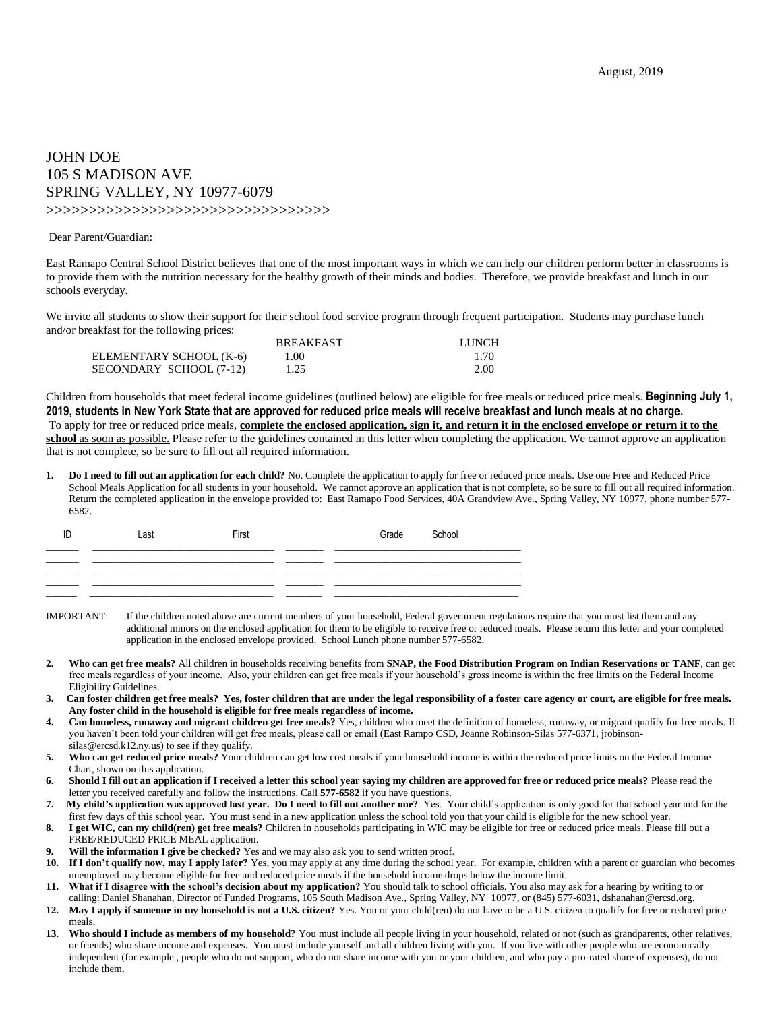## JOHN DOE 105 S MADISON AVE SPRING VALLEY, NY 10977-6079

>>>>>>>>>>>>>>>>>>>>>>>>>>>>>>>>>

## Dear Parent/Guardian:

East Ramapo Central School District believes that one of the most important ways in which we can help our children perform better in classrooms is to provide them with the nutrition necessary for the healthy growth of their minds and bodies. Therefore, we provide breakfast and lunch in our schools everyday.

We invite all students to show their support for their school food service program through frequent participation. Students may purchase lunch and/or breakfast for the following prices:

|                         | <b>BREAKFAST</b> | <b>LUNCH</b> |
|-------------------------|------------------|--------------|
| ELEMENTARY SCHOOL (K-6) | 1.00             | 1.70         |
| SECONDARY SCHOOL (7-12) | 1.25             | 2.00         |

Children from households that meet federal income guidelines (outlined below) are eligible for free meals or reduced price meals. **Beginning July 1, 2019, students in New York State that are approved for reduced price meals will receive breakfast and lunch meals at no charge.** To apply for free or reduced price meals, **complete the enclosed application, sign it, and return it in the enclosed envelope or return it to the school** as soon as possible. Please refer to the guidelines contained in this letter when completing the application. We cannot approve an application that is not complete, so be sure to fill out all required information.

**1. Do I need to fill out an application for each child?** No. Complete the application to apply for free or reduced price meals. Use one Free and Reduced Price School Meals Application for all students in your household. We cannot approve an application that is not complete, so be sure to fill out all required information. Return the completed application in the envelope provided to: East Ramapo Food Services, 40A Grandview Ave., Spring Valley, NY 10977, phone number 577- 6582.

| ID | Last | First | Grade | School |
|----|------|-------|-------|--------|
|    |      |       |       |        |
|    |      |       |       |        |
|    |      |       |       |        |
|    |      |       |       |        |

IMPORTANT: If the children noted above are current members of your household, Federal government regulations require that you must list them and any additional minors on the enclosed application for them to be eligible to receive free or reduced meals. Please return this letter and your completed application in the enclosed envelope provided. School Lunch phone number 577-6582.

- **2. Who can get free meals?** All children in households receiving benefits from **SNAP, the Food Distribution Program on Indian Reservations or TANF**, can get free meals regardless of your income. Also, your children can get free meals if your household's gross income is within the free limits on the Federal Income Eligibility Guidelines.
- **3. Can foster children get free meals? Yes, foster children that are under the legal responsibility of a foster care agency or court, are eligible for free meals. Any foster child in the household is eligible for free meals regardless of income.**
- **4. Can homeless, runaway and migrant children get free meals?** Yes, children who meet the definition of homeless, runaway, or migrant qualify for free meals. If you haven't been told your children will get free meals, please call or email (East Rampo CSD, Joanne Robinson-Silas 577-6371, jrobinsonsilas@ercsd.k12.ny.us) to see if they qualify.
- **5. Who can get reduced price meals?** Your children can get low cost meals if your household income is within the reduced price limits on the Federal Income Chart, shown on this application.
- **6. Should I fill out an application if I received a letter this school year saying my children are approved for free or reduced price meals?** Please read the letter you received carefully and follow the instructions. Call **577-6582** if you have questions.
- **7. My child's application was approved last year. Do I need to fill out another one?** Yes. Your child's application is only good for that school year and for the first few days of this school year. You must send in a new application unless the school told you that your child is eligible for the new school year.
- **8. I get WIC, can my child(ren) get free meals?** Children in households participating in WIC may be eligible for free or reduced price meals. Please fill out a FREE/REDUCED PRICE MEAL application.
- **9. Will the information I give be checked?** Yes and we may also ask you to send written proof.<br>**10.** If I don't qualify now, may I annly later? Yes, you may annly at any time during the school
- **10. If I don't qualify now, may I apply later?** Yes, you may apply at any time during the school year. For example, children with a parent or guardian who becomes unemployed may become eligible for free and reduced price meals if the household income drops below the income limit.
- **11. What if I disagree with the school's decision about my application?** You should talk to school officials. You also may ask for a hearing by writing to or calling: Daniel Shanahan, Director of Funded Programs, 105 South Madison Ave., Spring Valley, NY 10977, or (845) 577-6031, dshanahan@ercsd.org.
- **12. May I apply if someone in my household is not a U.S. citizen?** Yes. You or your child(ren) do not have to be a U.S. citizen to qualify for free or reduced price meals.
- 13. Who should I include as members of my household? You must include all people living in your household, related or not (such as grandparents, other relatives, or friends) who share income and expenses. You must include yourself and all children living with you. If you live with other people who are economically independent (for example , people who do not support, who do not share income with you or your children, and who pay a pro-rated share of expenses), do not include them.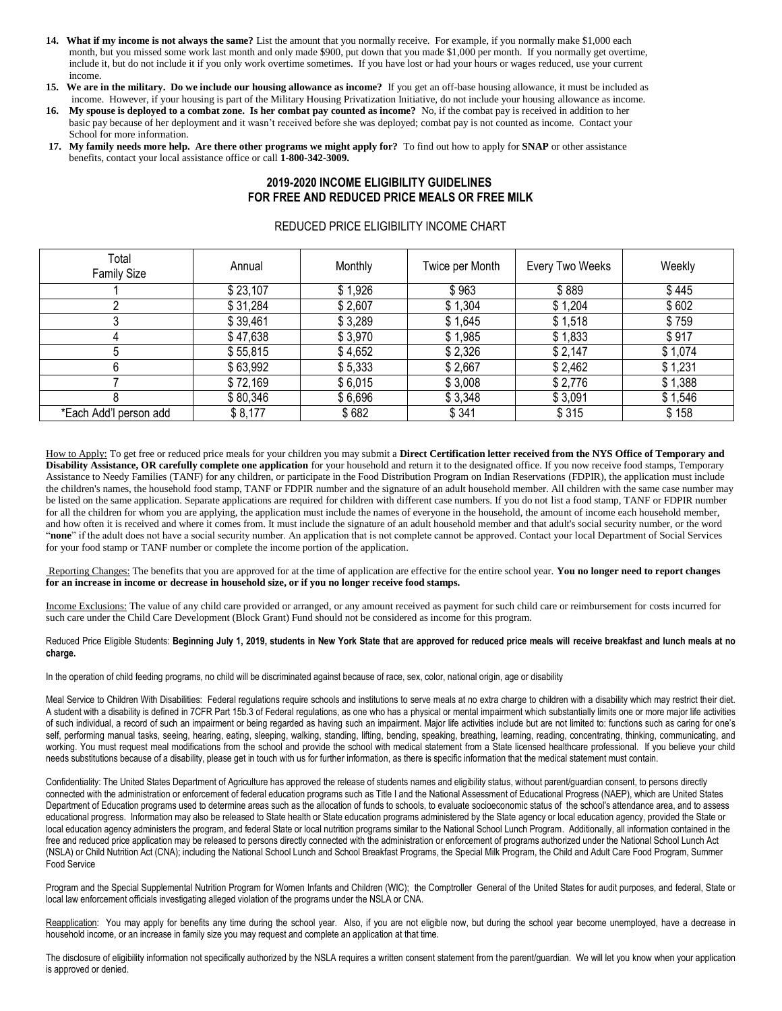- **14. What if my income is not always the same?** List the amount that you normally receive. For example, if you normally make \$1,000 each month, but you missed some work last month and only made \$900, put down that you made \$1,000 per month. If you normally get overtime, include it, but do not include it if you only work overtime sometimes. If you have lost or had your hours or wages reduced, use your current income.
- **15. We are in the military. Do we include our housing allowance as income?** If you get an off-base housing allowance, it must be included as income. However, if your housing is part of the Military Housing Privatization Initiative, do not include your housing allowance as income.
- **16. My spouse is deployed to a combat zone. Is her combat pay counted as income?** No, if the combat pay is received in addition to her basic pay because of her deployment and it wasn't received before she was deployed; combat pay is not counted as income. Contact your School for more information.
- **17. My family needs more help. Are there other programs we might apply for?** To find out how to apply for **SNAP** or other assistance benefits, contact your local assistance office or call **1-800-342-3009.**

## **2019-2020 INCOME ELIGIBILITY GUIDELINES FOR FREE AND REDUCED PRICE MEALS OR FREE MILK**

## REDUCED PRICE ELIGIBILITY INCOME CHART

| Total<br><b>Family Size</b> | Annual   | Monthly | Twice per Month | Every Two Weeks | Weekly  |
|-----------------------------|----------|---------|-----------------|-----------------|---------|
|                             | \$23,107 | \$1,926 | \$963           | \$889           | \$445   |
|                             | \$31,284 | \$2,607 | \$1,304         | \$1,204         | \$602   |
|                             | \$39,461 | \$3,289 | \$1,645         | \$1,518         | \$759   |
|                             | \$47,638 | \$3,970 | \$1,985         | \$1,833         | \$917   |
|                             | \$55,815 | \$4,652 | \$2,326         | \$2,147         | \$1,074 |
|                             | \$63,992 | \$5,333 | \$2,667         | \$2,462         | \$1,231 |
|                             | \$72,169 | \$6,015 | \$3,008         | \$2,776         | \$1,388 |
|                             | \$80,346 | \$6,696 | \$3,348         | \$3,091         | \$1,546 |
| *Each Add'l person add      | \$8,177  | \$682   | \$341           | \$315           | \$158   |

How to Apply: To get free or reduced price meals for your children you may submit a **Direct Certification letter received from the NYS Office of Temporary and Disability Assistance, OR carefully complete one application** for your household and return it to the designated office. If you now receive food stamps, Temporary Assistance to Needy Families (TANF) for any children, or participate in the Food Distribution Program on Indian Reservations (FDPIR), the application must include the children's names, the household food stamp, TANF or FDPIR number and the signature of an adult household member. All children with the same case number may be listed on the same application. Separate applications are required for children with different case numbers. If you do not list a food stamp, TANF or FDPIR number for all the children for whom you are applying, the application must include the names of everyone in the household, the amount of income each household member, and how often it is received and where it comes from. It must include the signature of an adult household member and that adult's social security number, or the word "**none**" if the adult does not have a social security number. An application that is not complete cannot be approved. Contact your local Department of Social Services for your food stamp or TANF number or complete the income portion of the application.

Reporting Changes: The benefits that you are approved for at the time of application are effective for the entire school year. **You no longer need to report changes for an increase in income or decrease in household size, or if you no longer receive food stamps.**

Income Exclusions: The value of any child care provided or arranged, or any amount received as payment for such child care or reimbursement for costs incurred for such care under the Child Care Development (Block Grant) Fund should not be considered as income for this program.

Reduced Price Eligible Students: **Beginning July 1, 2019, students in New York State that are approved for reduced price meals will receive breakfast and lunch meals at no charge.**

In the operation of child feeding programs, no child will be discriminated against because of race, sex, color, national origin, age or disability

Meal Service to Children With Disabilities: Federal regulations require schools and institutions to serve meals at no extra charge to children with a disability which may restrict their diet. A student with a disability is defined in 7CFR Part 15b.3 of Federal regulations, as one who has a physical or mental impairment which substantially limits one or more major life activities of such individual, a record of such an impairment or being regarded as having such an impairment. Major life activities include but are not limited to: functions such as caring for one's self, performing manual tasks, seeing, hearing, eating, sleeping, walking, standing, lifting, bending, speaking, breathing, learning, reading, concentrating, thinking, communicating, and working. You must request meal modifications from the school and provide the school with medical statement from a State licensed healthcare professional. If you believe your child needs substitutions because of a disability, please get in touch with us for further information, as there is specific information that the medical statement must contain.

Confidentiality: The United States Department of Agriculture has approved the release of students names and eligibility status, without parent/guardian consent, to persons directly connected with the administration or enforcement of federal education programs such as Title I and the National Assessment of Educational Progress (NAEP), which are United States Department of Education programs used to determine areas such as the allocation of funds to schools, to evaluate socioeconomic status of the school's attendance area, and to assess educational progress. Information may also be released to State health or State education programs administered by the State agency or local education agency, provided the State or local education agency administers the program, and federal State or local nutrition programs similar to the National School Lunch Program. Additionally, all information contained in the free and reduced price application may be released to persons directly connected with the administration or enforcement of programs authorized under the National School Lunch Act (NSLA) or Child Nutrition Act (CNA); including the National School Lunch and School Breakfast Programs, the Special Milk Program, the Child and Adult Care Food Program, Summer Food Service

Program and the Special Supplemental Nutrition Program for Women Infants and Children (WIC); the Comptroller General of the United States for audit purposes, and federal, State or local law enforcement officials investigating alleged violation of the programs under the NSLA or CNA.

Reapplication: You may apply for benefits any time during the school year. Also, if you are not eligible now, but during the school year become unemployed, have a decrease in household income, or an increase in family size you may request and complete an application at that time.

The disclosure of eligibility information not specifically authorized by the NSLA requires a written consent statement from the parent/guardian. We will let you know when your application is approved or denied.